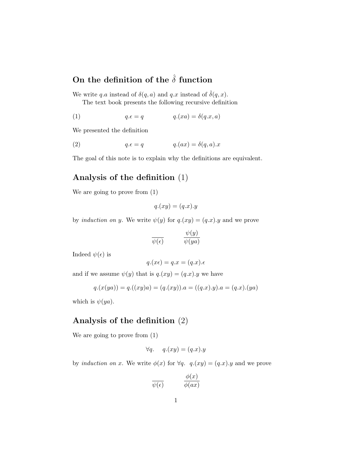## On the definition of the  $\hat{\delta}$  function

We write q.a instead of  $\delta(q, a)$  and q.x instead of  $\delta(q, x)$ .

The text book presents the following recursive definition

(1) 
$$
q.\epsilon = q \qquad \qquad q.(xa) = \delta(q.x, a)
$$

We presented the definition

(2) 
$$
q.\epsilon = q \qquad \qquad q.(ax) = \delta(q, a).x
$$

The goal of this note is to explain why the definitions are equivalent.

## Analysis of the definition (1)

We are going to prove from (1)

$$
q.(xy) = (q.x).y
$$

by *induction on y*. We write  $\psi(y)$  for  $q.(xy) = (q.x).y$  and we prove

$$
\frac{\psi(y)}{\psi(\epsilon)} \qquad \qquad \frac{\psi(y)}{\psi(ya)}
$$

Indeed  $\psi(\epsilon)$  is

$$
q.(x\epsilon) = q.x = (q.x).\epsilon
$$

and if we assume  $\psi(y)$  that is  $q.(xy) = (q.x).y$  we have

$$
q.(x(ya)) = q.((xy)a) = (q.(xy)).a = ((q.x).y).a = (q.x).(ya)
$$

which is  $\psi(ya)$ .

## Analysis of the definition (2)

We are going to prove from (1)

$$
\forall q. \quad q.(xy) = (q.x).y
$$

by induction on x. We write  $\phi(x)$  for  $\forall q$ .  $q.(xy) = (q.x).y$  and we prove

$$
\frac{\phi(x)}{\psi(\epsilon)} \qquad \qquad \frac{\phi(x)}{\phi(ax)}
$$